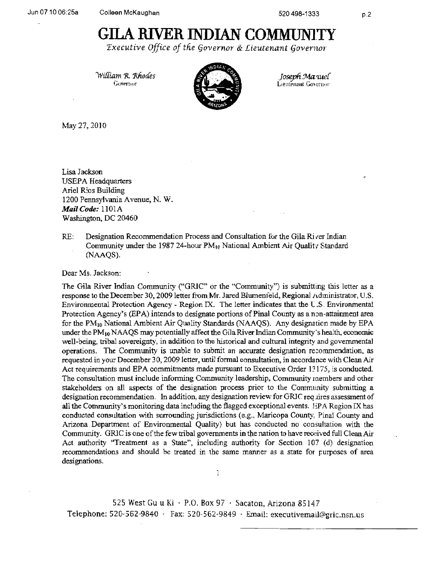## **GILA RIVER INDIAN COMMUNlTY**

*Executive Office of the Governor & Lieutenant Governor* 

*1994 William R. Rhodes* **1996 Martine 1/4 Martine 1/4 Martine 1/4 Martine 1/4 Martine 1/4 Martine 1/4 Martine 1/4 Martine 1/4 Martine 1/4 Martine 1/4 Martine 1/4 Martine 1/4 Martine 1/4 Martine 1/4 Martine 1/4 Martine 1/4** 



Lieutenant Governor

May 27. 2010

Lisa Jackson USEPA Headquarters Ariel Rios Building 1200 Pennsylvania Avenue, N. W. *Mail Code:* 1101A Washington, DC 20460

RE: Designation Recommendation Process and Consultation for the Gila River Indian Community under the 1987 24-hour  $PM_{10}$  National Ambient Air Quality Standard (NAAQS).

Dear Ms. Jackson:

The Gila River Indian Community ("GRIC" or the "Community") is submitting this letter as a response to the December 30, 2009 letter from Mr. Jared Blumenfeld, Regional Administrator, U.S. Environmental Protection Agency - Region IX. The letter indicates that the U.S. Environmental Protection Agency's (EPA) intends to designate portions of Pinal County as a non-attainment area for the  $PM_{10}$  National Ambient Air Quality Standards (NAAQS). Any designation made by EPA under the PM<sub>10</sub> NAAQS may potentially affect the Gila River Indian Community's health, economic well-being, tribal sovereignty, in addition to the historical and cultural integrity and governmental operations. The Community is unable to submit an accurate designation recommendation, as requested in your December 30, 2009 letter, until fonnal consultation, in accorda nce with Clean Air Act requirements and EPA commitments made pursuant to Executive Order 13175, is conducted. The consultation must include informing Community leadership, Community members and other stakeholders on all aspects of the designation process prior to the Commlmity submitting a designation recommendation. In addition, any designation review for GRJC req lires assessment of all the Community's monitoring data including the flagged exceptional events. EPA Region IX has conducted consultation with surrounding jurisdictions (e.g., Maricopa County, Pinal County and Arizona Department of Environmental Quality) but has conducted no consultation with the Community. GRIC is one of the few tribal governments in the nation to have received full Clean Air Act authority "Treatment as a State", including authority for Section 107 (d) designation recommendations and should be treated in the same manner as a state for purposes of area designations.

525 West Gu u Ki  $\cdot$  P.O. Box 97  $\cdot$  Sacaton, Arizona 85147 Telephone:  $520-562-9840$  · Fax:  $520-562-9849$  · Email: executivemail@gric.nsn.us

1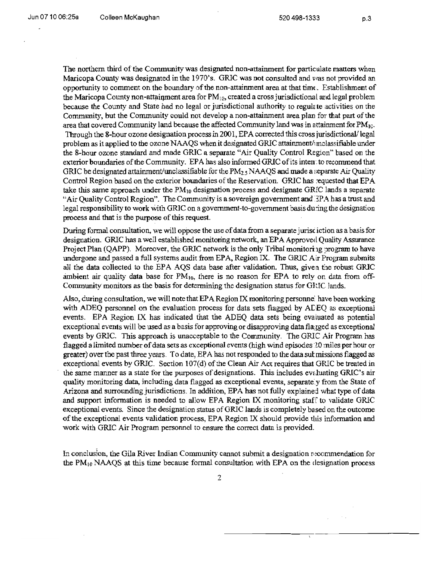The northern third of the Community was designated non-attainment for particulate matters when Maricopa County was designated in the 1970's. GRIC was not consulted and was not provided an opportunity to comment on the boundary of the non-attainment area at that time. Establishment of the Maricopa County non-attainment area for  $PM_{10}$ , created a cross jurisdictional and legal problem because the County and State had no legal or jurisdictional authority to regulate activities on the Community, but the Community could not develop a non-attainment area plan for that part of the area that covered Community land because the affected Community land was in attainment for  $PM_{10}$ . Through the 8-hour ozone designation process in 2001, EPA corrected this cross jurisdictional/ legal problem as it applied to the ozone NAAQS when it designated GRIC attainment/imclassifiable under the 8-hour ozone standard and made GRIC a separate "Air Quality Control Region" based on the exterior boundaries ofthe Community. EPA has also informed GRIC ofits inten:to recommend that GRIC be designated attainment/unclassifiable for the  $PM_{2.5}$  NAAQS and made a separate Air Quality Control Region based on the exterior boundaries of the Reservation. GRIC has requested that EPA take this same approach under the  $PM_{10}$  designation process and designate GRIC lands a separate "Air Quality Control Region". The Community is a sovereign government and~PA has a trust and legal responsibility to work with GRIC on a government-to-government basis during the designation process and that is the purpose of this request.

During formal consultation, we will oppose the use of data from a separate jurisdiction as a basis for designation. GRIC has a well established monitoring network, an EPA Approved Quality Assurance Project Plan (QAPP). Moreover, the GRIC network is the only Tribal monitoring program to have undergone and passed a full systems audit from EPA, Region IX. The GRlC Alr Program submits all the data collected to the EPA AQS data base after validation. Thus, giverl the robust GRlC ambient air quality data base for  $PM_{10}$ , there is no reason for EPA to rely on data from off-Community monitors as the basis for determining the designation status for GIUC lands.

Also, during consultation, we will note that EPA Region IX monitoring personne: have been working with ADEQ personnel on the evaluation process for data sets flagged by ADEQ as exceptional events. EPA Region IX has indicated that the ADEQ data sets being evaluated as potential exceptional events will be used as a basis for approving or disapproving data flagged as exceptional events by GRIC. This approach is unacceptable to the Community. The GRIC Air Program has flagged a limited number of data sets as exceptional events (high wind episodes 20 miles per hour or greater) over the past three years. To date, EPA has not responded to the data sutmissions flagged as exceptional events by GRIC. Section 107(d) of the Clean Air Act requires that GRIC be treated in the same manner as a state for the purposes of designations. This includes evaluating GRIC's air quality monitoring data, including data flagged as exceptional events, separate:y from the State of Arizona and surrounding jurisdictions. In addition, EPA has not fully explained what type of data and support information is needed to allow EPA Region lX monitoring staff to validate GRIC exceptional events. Since the designation status ofGRIC lands is completely based on the outcome of the exceptional events validation process, EPA Region IX should provide this information and work with GRIC Air Program personnel to ensure the correct data is provided.

In conclusion, the Gila River Indian Community cannot submit a designation  $r$  ecommendation for the  $PM_{10}$  NAAQS at this time because formal consultation with EPA on the designation process